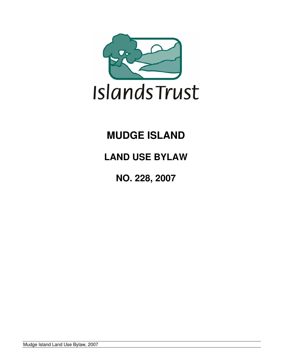

# **MUDGE ISLAND**

# **LAND USE BYLAW**

**NO. 228, 2007** 

Mudge Island Land Use Bylaw, 2007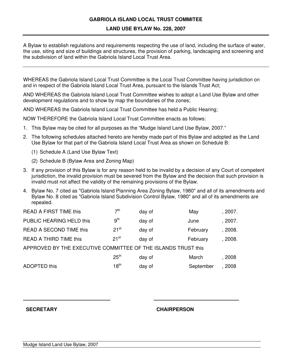## **GABRIOLA ISLAND LOCAL TRUST COMMITEE**

#### **LAND USE BYLAW No. 228, 2007**

A Bylaw to establish regulations and requirements respecting the use of land, including the surface of water, the use, siting and size of buildings and structures, the provision of parking, landscaping and screening and the subdivision of land within the Gabriola Island Local Trust Area.

WHEREAS the Gabriola Island Local Trust Committee is the Local Trust Committee having jurisdiction on and in respect of the Gabriola Island Local Trust Area, pursuant to the Islands Trust Act;

AND WHEREAS the Gabriola Island Local Trust Committee wishes to adopt a Land Use Bylaw and other development regulations and to show by map the boundaries of the zones;

AND WHEREAS the Gabriola Island Local Trust Committee has held a Public Hearing;

NOW THEREFORE the Gabriola Island Local Trust Committee enacts as follows:

- 1. This Bylaw may be cited for all purposes as the "Mudge Island Land Use Bylaw, 2007."
- 2. The following schedules attached hereto are hereby made part of this Bylaw and adopted as the Land Use Bylaw for that part of the Gabriola Island Local Trust Area as shown on Schedule B:
	- (1) Schedule A (Land Use Bylaw Text)
	- (2) Schedule B (Bylaw Area and Zoning Map)
- 3. If any provision of this Bylaw is for any reason held to be invalid by a decision of any Court of competent jurisdiction, the invalid provision must be severed from the Bylaw and the decision that such provision is invalid must not affect the validity of the remaining provisions of the Bylaw.
- 4. Bylaw No. 7 cited as "Gabriola Island Planning Area Zoning Bylaw, 1980" and all of its amendments and Bylaw No. 8 cited as "Gabriola Island Subdivision Control Bylaw, 1980" and all of its amendments are repealed.

| <b>READ A FIRST TIME this</b>                                 | 7 <sup>th</sup>  | day of | May       | , 2007. |  |  |
|---------------------------------------------------------------|------------------|--------|-----------|---------|--|--|
| PUBLIC HEARING HELD this                                      | 9 <sup>th</sup>  | day of | June      | , 2007. |  |  |
| READ A SECOND TIME this                                       | 21 <sup>st</sup> | day of | February  | , 2008. |  |  |
| <b>READ A THIRD TIME this</b>                                 | $21^{st}$        | day of | February  | , 2008. |  |  |
| APPROVED BY THE EXECUTIVE COMMITTEE OF THE ISLANDS TRUST this |                  |        |           |         |  |  |
|                                                               | 25 <sup>th</sup> | day of | March     | , 2008  |  |  |
| ADOPTED this                                                  | 18 <sup>th</sup> | day of | September | . 2008  |  |  |

#### **SECRETARY CHAIRPERSON**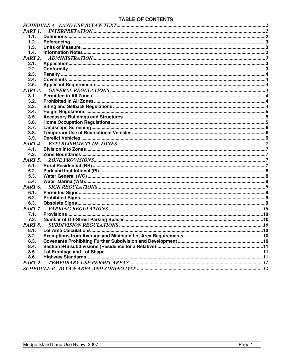# **TABLE OF CONTENTS**

| PART 1.             |  |
|---------------------|--|
| 1.1.                |  |
| 1.2.                |  |
| 1.3.                |  |
| 1.4.                |  |
| PART <sub>2</sub> . |  |
| 2.1.                |  |
| 2.2.                |  |
| 2.3.                |  |
| 2.4.                |  |
| 2.5.                |  |
| PART 3.             |  |
| 3.1.                |  |
| 3.2.                |  |
| 3.3.                |  |
| 3.4.                |  |
| 3.5.                |  |
| 3.6.                |  |
| 3.7.                |  |
| 3.8.                |  |
| 3.9.                |  |
| PART <sub>4</sub>   |  |
| 4.1.                |  |
| 4.2.                |  |
| PART <sub>5</sub> . |  |
| 5.1.                |  |
| 5.2.                |  |
| 5.3.                |  |
| 5.4.                |  |
| PART <sub>6</sub> . |  |
| 6.1.                |  |
| 6.2.                |  |
| 6.3.                |  |
| PART <sub>7</sub> . |  |
| 7.1.                |  |
| 7.2.                |  |
| PART 8.             |  |
| 8.1.                |  |
| 8.2.                |  |
| 8.3.                |  |
| 8.4.                |  |
| 8.5.                |  |
| 8.6.                |  |
| PART 9.             |  |
|                     |  |
|                     |  |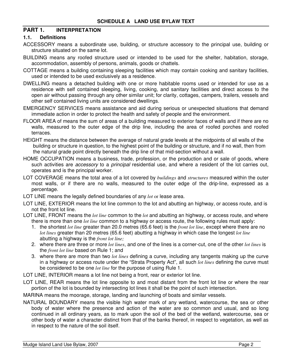## <span id="page-3-0"></span>**PART 1. INTERPRETATION**

#### **1.1. Definitions**

- ACCESSORY means a subordinate use, building, or structure accessory to the principal use, building or structure situated on the same lot.
- BUILDING means any roofed structure used or intended to be used for the shelter, habitation, storage, accommodation, assembly of persons, animals, goods or chattels.
- COTTAGE means a building containing sleeping facilities which may contain cooking and sanitary facilities, used or intended to be used exclusively as a residence.
- DWELLING means a detached building with one or more habitable rooms used or intended for use as a residence with self contained sleeping, living, cooking, and sanitary facilities and direct access to the open air without passing through any other similar unit; for clarity, cottages, campers, trailers, vessels and other self contained living units are considered dwellings.
- EMERGENCY SERVICES means assistance and aid during serious or unexpected situations that demand immediate action in order to protect the health and safety of people and the environment.
- FLOOR AREA of means the sum of areas of a building measured to exterior faces of walls and if there are no walls, measured to the outer edge of the drip line, including the area of roofed porches and roofed terraces.
- HEIGHT means the distance between the average of natural grade levels at the midpoints of all walls of the building or structure in question, to the highest point of the building or structure, and if no wall, then from the natural grade point directly beneath the drip line of that mid-section without a wall.
- HOME OCCUPATION means a business, trade, profession, or the production and or sale of goods, where such activities are *accessory* to a *principal* residential use, and where a resident of the lot carries out, operates and is the principal worker.
- LOT COVERAGE means the total area of a lot covered by *buildings* and *structures* measured within the outer most walls, or if there are no walls, measured to the outer edge of the drip-line, expressed as a percentage.
- LOT LINE means the legally defined boundaries of any *lot* or lease area.
- LOT LINE, EXTERIOR means the lot line common to the lot and abutting an highway, or access route, and is not the front lot line.
- LOT LINE, FRONT means the *lot line* common to the *lot* and abutting an highway, or access route, and where there is more than one *lot line* common to a highway or access route, the following rules must apply:
	- 1. the shortest *lot line* greater than 20.0 metres (65.6 feet) is the *front lot line,* except where there are no *lot lines* greater than 20 metres (65.6 feet) abutting a highway in which case the longest *lot line* abutting a highway is the *front lot line;*
	- 2. where there are three or more *lot lines*, and one of the lines is a corner-cut, one of the other *lot lines* is the *front lot line* based on Rule 1; and
	- 3. where there are more than two *lot lines* defining a curve, including any tangents making up the curve in a highway or access route under the "Strata Property Act", all such *lot lines* defining the curve must be considered to be one *lot line* for the purpose of using Rule 1.
- LOT LINE, INTERIOR means a lot line not being a front, rear or exterior lot line.
- LOT LINE, REAR means the lot line opposite to and most distant from the front lot line or where the rear portion of the lot is bounded by intersecting lot lines it shall be the point of such intersection.
- MARINA means the moorage, storage, landing and launching of boats and similar vessels.
- NATURAL BOUNDARY means the visible high water mark of any wetland, watercourse, the sea or other body of water where the presence and action of the water are so common and usual, and so long continued in all ordinary years, as to mark upon the soil of the bed of the wetland, watercourse, sea or other body of water a character distinct from that of the banks thereof, in respect to vegetation, as well as in respect to the nature of the soil itself.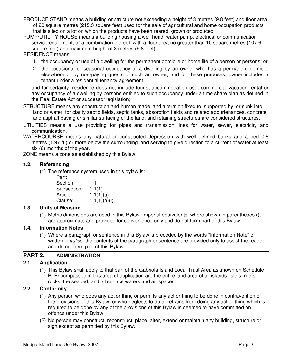- <span id="page-4-0"></span>PRODUCE STAND means a building or structure not exceeding a height of 3 metres (9.8 feet) and floor area of 20 square metres (215.3 square feet) used for the sale of agricultural and home occupation products that is sited on a lot on which the products have been reared, grown or produced.
- PUMP/UTILITY HOUSE means a building housing a well head, water pump, electrical or communication service equipment, or a combination thereof, with a floor area no greater than 10 square metres (107.6) square feet) and maximum height of 3 metres (9.8 feet).

RESIDENCE means:

- 1. the occupancy or use of a dwelling for the permanent domicile or home life of a person or persons; or
- 2. the occasional or seasonal occupancy of a dwelling by an owner who has a permanent domicile elsewhere or by non-paying guests of such an owner, and for these purposes, owner includes a tenant under a residential tenancy agreement,

and for certainty, residence does not include tourist accommodation use, commercial vacation rental or any occupancy of a dwelling by persons entitled to such occupancy under a time share plan as defined in the Real Estate Act or successor legislation;

- STRUCTURE means any construction and human made land alteration fixed to, supported by, or sunk into land or water; for clarity septic fields, septic tanks, absorption fields and related appurtenances, concrete and asphalt paving or similar surfacing of the land, and retaining structures are considered structures.
- UTILITIES means a use providing for pipes and transmission lines for water, sewer, electricity and communication.
- WATERCOURSE means any natural or constructed depression with well defined banks and a bed 0.6 metres (1.97 ft.) or more below the surrounding land serving to give direction to a current of water at least six (6) months of the year.

ZONE means a zone as established by this Bylaw.

#### **1.2. Referencing**

(1) The reference system used in this bylaw is:

Part: 1 Section: 1.1 Subsection: 1.1(1) Article: 1.1(1)(a) Clause: 1.1(1)(a)(i)

#### **1.3. Units of Measure**

(1) Metric dimensions are used in this Bylaw. Imperial equivalents, where shown in parentheses (), are approximate and provided for convenience only and do not form part of this Bylaw.

## **1.4. Information Notes**

(1) Where a paragraph or sentence in this Bylaw is preceded by the words "Information Note" or written in *italics*, the contents of the paragraph or sentence are provided only to assist the reader and do not form part of this Bylaw.

## **PART 2. ADMINISTRATION**

## **2.1. Application**

(1) This Bylaw shall apply to that part of the Gabriola Island Local Trust Area as shown on Schedule B. Encompassed in this area of application are the entire land area of all islands, islets, reefs, rocks, the seabed, and all surface waters and air spaces.

## **2.2. Conformity**

- (1) Any person who does any act or thing or permits any act or thing to be done in contravention of the provisions of this Bylaw, or who neglects to do or refrains from doing any act or thing which is required to be done by any of the provisions of this Bylaw is deemed to have committed an offence under this Bylaw.
- (2) No person may construct, reconstruct, place, alter, extend or maintain any building, structure or sign except as permitted by this Bylaw.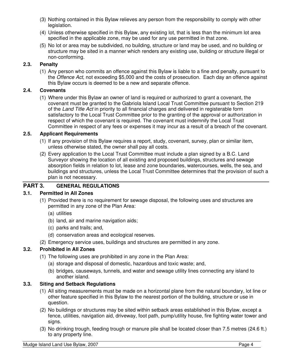- <span id="page-5-0"></span>(3) Nothing contained in this Bylaw relieves any person from the responsibility to comply with other legislation.
- (4) Unless otherwise specified in this Bylaw, any existing lot, that is less than the minimum lot area specified in the applicable zone, may be used for any use permitted in that zone.
- (5) No lot or area may be subdivided, no building, structure or land may be used, and no building or structure may be sited in a manner which renders any existing use, building or structure illegal or non-conforming.

# **2.3. Penalty**

(1) Any person who commits an offence against this Bylaw is liable to a fine and penalty, pursuant to the *Offence Act*, not exceeding \$5,000 and the costs of prosecution. Each day an offence against this Bylaw occurs is deemed to be a new and separate offence.

## **2.4. Covenants**

(1) Where under this Bylaw an owner of land is required or authorized to grant a covenant, the covenant must be granted to the Gabriola Island Local Trust Committee pursuant to Section 219 of the *Land Title Act* in priority to all financial charges and delivered in registerable form satisfactory to the Local Trust Committee prior to the granting of the approval or authorization in respect of which the covenant is required. The covenant must indemnify the Local Trust Committee in respect of any fees or expenses it may incur as a result of a breach of the covenant.

## **2.5. Applicant Requirements**

- (1) If any provision of this Bylaw requires a report, study, covenant, survey, plan or similar item, unless otherwise stated, the owner shall pay all costs.
- (2) Every application to the Local Trust Committee must include a plan signed by a B.C. Land Surveyor showing the location of all existing and proposed buildings, structures and sewage absorption fields in relation to lot, lease and zone boundaries, watercourses, wells, the sea, and buildings and structures, unless the Local Trust Committee determines that the provision of such a plan is not necessary.

# **PART 3. GENERAL REGULATIONS**

## **3.1. Permitted in All Zones**

- (1) Provided there is no requirement for sewage disposal, the following uses and structures are permitted in any zone of the Plan Area:
	- (a) utilities
	- (b) land, air and marine navigation aids;
	- (c) parks and trails; and,
	- (d) conservation areas and ecological reserves.
- (2) Emergency service uses, buildings and structures are permitted in any zone.

## **3.2. Prohibited in All Zones**

- (1) The following uses are prohibited in any zone in the Plan Area:
	- (a) storage and disposal of domestic, hazardous and toxic waste; and,
	- (b) bridges, causeways, tunnels, and water and sewage utility lines connecting any island to another island.

## **3.3. Siting and Setback Regulations**

- (1) All siting measurements must be made on a horizontal plane from the natural boundary, lot line or other feature specified in this Bylaw to the nearest portion of the building, structure or use in question.
- (2) No buildings or structures may be sited within setback areas established in this Bylaw, except a fence, utilities, navigation aid, driveway, foot path, pump/utility house, fire fighting water tower and sians.
- (3) No drinking trough, feeding trough or manure pile shall be located closer than 7.5 metres (24.6 ft.) to any property line.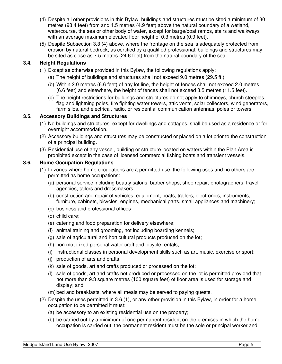- <span id="page-6-0"></span>(4) Despite all other provisions in this Bylaw, buildings and structures must be sited a minimum of 30 metres (98.4 feet) from and 1.5 metres (4.9 feet) above the natural boundary of a wetland, watercourse, the sea or other body of water, except for barge/boat ramps, stairs and walkways with an average maximum elevated floor height of 0.3 metres (0.9 feet).
- (5) Despite Subsection 3.3 (4) above, where the frontage on the sea is adequately protected from erosion by natural bedrock, as certified by a qualified professional, buildings and structures may be sited as close as 7.5 metres (24.6 feet) from the natural boundary of the sea.

# **3.4. Height Regulations**

- (1) Except as otherwise provided in this Bylaw, the following regulations apply:
	- (a) The height of buildings and structures shall not exceed 9.0 metres (29.5 ft.).
	- (b) Within 2.0 metres (6.6 feet) of any lot line, the height of fences shall not exceed 2.0 metres (6.6 feet) and elsewhere, the height of fences shall not exceed 3.5 metres (11.5 feet).
	- (c) The height restrictions for buildings and structures do not apply to chimneys, church steeples, flag and lightning poles, fire fighting water towers, attic vents, solar collectors, wind generators, farm silos, and electrical, radio, or residential communication antennas, poles or towers.

## **3.5. Accessory Buildings and Structures**

- (1) No buildings and structures, except for dwellings and cottages, shall be used as a residence or for overnight accommodation.
- (2) Accessory buildings and structures may be constructed or placed on a lot prior to the construction of a principal building.
- (3) Residential use of any vessel, building or structure located on waters within the Plan Area is prohibited except in the case of licensed commercial fishing boats and transient vessels.

## **3.6. Home Occupation Regulations**

- (1) In zones where home occupations are a permitted use, the following uses and no others are permitted as home occupations:
	- (a) personal service including beauty salons, barber shops, shoe repair, photographers, travel agencies, tailors and dressmakers;
	- (b) construction and repair of vehicles, equipment, boats, trailers, electronics, instruments, furniture, cabinets, bicycles, engines, mechanical parts, small appliances and machinery;
	- (c) business and professional offices;
	- (d) child care;
	- (e) catering and food preparation for delivery elsewhere;
	- (f) animal training and grooming, not including boarding kennels;
	- (g) sale of agricultural and horticultural products produced on the lot;
	- (h) non motorized personal water craft and bicycle rentals;
	- (i) instructional classes in personal development skills such as art, music, exercise or sport;
	- (j) production of arts and crafts;
	- (k) sale of goods, art and crafts produced or processed on the lot;
	- (l) sale of goods, art and crafts not produced or processed on the lot is permitted provided that not more than 9.3 square metres (100 square feet) of floor area is used for storage and display; and,
	- (m) bed and breakfasts, where all meals may be served to paying guests.
- (2) Despite the uses permitted in 3.6.(1), or any other provision in this Bylaw, in order for a home occupation to be permitted it must:
	- (a) be accessory to an existing residential use on the property;
	- (b) be carried out by a minimum of one permanent resident on the premises in which the home occupation is carried out; the permanent resident must be the sole or principal worker and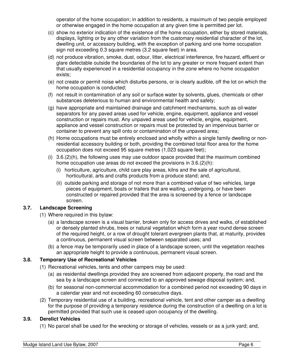operator of the home occupation; in addition to residents, a maximum of two people employed or otherwise engaged in the home occupation at any given time is permitted per lot.

- <span id="page-7-0"></span>(c) show no exterior indication of the existence of the home occupation, either by stored materials, displays, lighting or by any other variation from the customary residential character of the lot, dwelling unit, or accessory building, with the exception of parking and one home occupation sign not exceeding 0.3 square metres (3.2 square feet) in area.
- (d) not produce vibration, smoke, dust, odour, litter, electrical interference, fire hazard, effluent or glare detectable outside the boundaries of the lot to any greater or more frequent extent than that usually experienced in a residential occupancy in the zone where no home occupation exists;
- (e) not create or permit noise which disturbs persons, or is clearly audible, off the lot on which the home occupation is conducted;
- (f) not result in contamination of any soil or surface water by solvents, glues, chemicals or other substances deleterious to human and environmental health and safety;
- (g) have appropriate and maintained drainage and catchment mechanisms, such as oil-water separators for any paved areas used for vehicle, engine, equipment, appliance and vessel construction or repairs must. Any unpaved areas used for vehicle, engine, equipment, appliance and vessel construction or repairs must be protected by an impervious barrier or container to prevent any spill onto or contamination of the unpaved area;
- (h) Home occupations must be entirely enclosed and wholly within a single family dwelling or nonresidential accessory building or both, providing the combined total floor area for the home occupation does not exceed 95 square metres (1,023 square feet);
- (i)  $3.6(2)(h)$ , the following uses may use outdoor space provided that the maximum combined home occupation use areas do not exceed the provisions in 3.6.(2)(h):
	- (i) horticulture, agriculture, child care play areas, kilns and the sale of agricultural, horticultural, arts and crafts products from a produce stand; and,
	- (ii) outside parking and storage of not more than a combined value of two vehicles, large pieces of equipment, boats or trailers that are waiting, undergoing, or have been constructed or repaired provided that the area is screened by a fence or landscape screen.

## **3.7. Landscape Screening**

- (1) Where required in this bylaw:
	- (a) a landscape screen is a visual barrier, broken only for access drives and walks, of established or densely planted shrubs, trees or natural vegetation which form a year round dense screen of the required height, or a row of drought tolerant evergreen plants that, at maturity, provides a continuous, permanent visual screen between separated uses; and
	- (b) a fence may be temporarily used in place of a landscape screen, until the vegetation reaches an appropriate height to provide a continuous, permanent visual screen.

# **3.8. Temporary Use of Recreational Vehicles**

- (1) Recreational vehicles, tents and other campers may be used:
	- (a) as residential dwellings provided they are screened from adjacent property, the road and the sea by a landscape screen and connected to an approved sewage disposal system; and,
	- (b) for seasonal non-commercial accommodation for a combined period not exceeding 90 days in a calendar year and not exceeding 60 consecutive days.
- (2) Temporary residential use of a building, recreational vehicle, tent and other camper as a dwelling for the purpose of providing a temporary residence during the construction of a dwelling on a lot is permitted provided that such use is ceased upon occupancy of the dwelling.

# **3.9. Derelict Vehicles**

(1) No parcel shall be used for the wrecking or storage of vehicles, vessels or as a junk yard; and,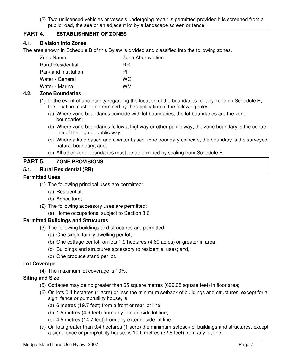(2) Two unlicensed vehicles or vessels undergoing repair is permitted provided it is screened from a public road, the sea or an adjacent lot by a landscape screen or fence.

# <span id="page-8-0"></span>**PART 4. ESTABLISHMENT OF ZONES**

## **4.1. Division into Zones**

The area shown in Schedule B of this Bylaw is divided and classified into the following zones.

| Zone Name                | Zone Abbreviation |  |  |
|--------------------------|-------------------|--|--|
| <b>Rural Residential</b> | <b>RR</b>         |  |  |
| Park and Institution     | ΡI                |  |  |
| Water - General          | WG                |  |  |
| Water - Marina           | WМ                |  |  |

## **4.2. Zone Boundaries**

- (1) In the event of uncertainty regarding the location of the boundaries for any zone on Schedule B, the location must be determined by the application of the following rules:
	- (a) Where zone boundaries coincide with lot boundaries, the lot boundaries are the zone boundaries;
	- (b) Where zone boundaries follow a highway or other public way, the zone boundary is the centre line of the high or public way;
	- (c) Where a land based and a water based zone boundary coincide, the boundary is the surveyed natural boundary; and,
	- (d) All other zone boundaries must be determined by scaling from Schedule B.

#### **PART 5. ZONE PROVISIONS**

#### **5.1. Rural Residential (RR)**

#### **Permitted Uses**

- (1) The following principal uses are permitted:
	- (a) Residential;
	- (b) Agriculture;
- (2) The following accessory uses are permitted:
	- (a) Home occupations, subject to Section 3.6.

## **Permitted Buildings and Structures**

- (3) The following buildings and structures are permitted:
	- (a) One single family dwelling per lot;
	- (b) One cottage per lot, on lots 1.9 hectares (4.69 acres) or greater in area;
	- (c) Buildings and structures accessory to residential uses; and,
	- (d) One produce stand per lot.

#### **Lot Coverage**

(4) The maximum lot coverage is 10%.

## **Siting and Size**

- (5) Cottages may be no greater than 65 square metres (699.65 square feet) in floor area;
- (6) On lots 0.4 hectares (1 acre) or less the minimum setback of buildings and structures, except for a sign, fence or pump/utility house, is:
	- (a) 6 metres (19.7 feet) from a front or rear lot line;
	- (b) 1.5 metres (4.9 feet) from any interior side lot line;
	- (c) 4.5 metres (14.7 feet) from any exterior side lot line.
- (7) On lots greater than 0.4 hectares (1 acre) the minimum setback of buildings and structures, except a sign, fence or pump/utility house, is 10.0 metres (32.8 feet) from any lot line.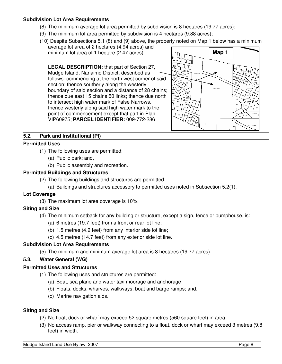#### <span id="page-9-0"></span>**Subdivision Lot Area Requirements**

- (8) The minimum average lot area permitted by subdivision is 8 hectares (19.77 acres);
- (9) The minimum lot area permitted by subdivision is 4 hectares (9.88 acres);
- (10) Despite Subsections 5.1 (8) and (9) above, the property noted on Map 1 below has a minimum average lot area of 2 hectares (4.94 acres) and minimum lot area of 1 hectare (2.47 acres).

**LEGAL DESCRIPTION:** that part of Section 27, Mudge Island, Nanaimo District, described as follows: commencing at the north west corner of said section; thence southerly along the westerly boundary of said section and a distance of 28 chains; thence due east 15 chains 50 links; thence due north to intersect high water mark of False Narrows, thence westerly along said high water mark to the point of commencement except that part in Plan VIP60975; **PARCEL IDENTIFIER:** 009-772-286



#### **5.2. Park and Institutional (PI)**

#### **Permitted Uses**

- (1) The following uses are permitted:
	- (a) Public park; and,
	- (b) Public assembly and recreation.

#### **Permitted Buildings and Structures**

- (2) The following buildings and structures are permitted:
	- (a) Buildings and structures accessory to permitted uses noted in Subsection 5.2(1).

## **Lot Coverage**

(3) The maximum lot area coverage is 10%.

## **Siting and Size**

- (4) The minimum setback for any building or structure, except a sign, fence or pumphouse, is:
	- (a) 6 metres (19.7 feet) from a front or rear lot line;
	- (b) 1.5 metres (4.9 feet) from any interior side lot line;
	- (c) 4.5 metres (14.7 feet) from any exterior side lot line.

#### **Subdivision Lot Area Requirements**

(5) The minimum and minimum average lot area is 8 hectares (19.77 acres).

#### **5.3. Water General (WG)**

#### **Permitted Uses and Structures**

- (1) The following uses and structures are permitted:
	- (a) Boat, sea plane and water taxi moorage and anchorage;
	- (b) Floats, docks, wharves, walkways, boat and barge ramps; and,
	- (c) Marine navigation aids.

## **Siting and Size**

- (2) No float, dock or wharf may exceed 52 square metres (560 square feet) in area.
- (3) No access ramp, pier or walkway connecting to a float, dock or wharf may exceed 3 metres (9.8 feet) in width.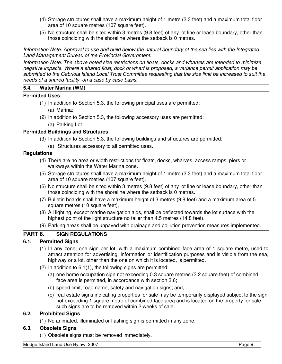- <span id="page-10-0"></span>(4) Storage structures shall have a maximum height of 1 metre (3.3 feet) and a maximum total floor area of 10 square metres (107 square feet).
- (5) No structure shall be sited within 3 metres (9.8 feet) of any lot line or lease boundary, other than those coinciding with the shoreline where the setback is 0 metres.

*Information Note: Approval to use and build below the natural boundary of the sea lies with the Integrated Land Management Bureau of the Provincial Government.* 

*Information Note: The above noted size restrictions on floats, docks and wharves are intended to minimize negative impacts. Where a shared float, dock or wharf is proposed, a variance permit application may be submitted to the Gabriola Island Local Trust Committee requesting that the size limit be increased to suit the needs of a shared facility, on a case by case basis.* 

## **5.4. Water Marina (WM)**

## **Permitted Uses**

- (1) In addition to Section 5.3, the following principal uses are permitted:
	- (a) Marina;
- (2) In addition to Section 5.3, the following accessory uses are permitted:
	- (a) Parking Lot

## **Permitted Buildings and Structures**

- (3) In addition to Section 5.3, the following buildings and structures are permitted:
	- (a) Structures accessory to all permitted uses.

#### **Regulations**

- (4) There are no area or width restrictions for floats, docks, wharves, access ramps, piers or walkways within the Water Marina zone.
- (5) Storage structures shall have a maximum height of 1 metre (3.3 feet) and a maximum total floor area of 10 square metres (107 square feet).
- (6) No structure shall be sited within 3 metres (9.8 feet) of any lot line or lease boundary, other than those coinciding with the shoreline where the setback is 0 metres.
- (7) Bulletin boards shall have a maximum height of 3 metres (9.8 feet) and a maximum area of 5 square metres (10 square feet),
- (8) All lighting, except marine navigation aids, shall be deflected towards the lot surface with the highest point of the light structure no taller than 4.5 metres (14.8 feet).
- (9) Parking areas shall be unpaved with drainage and pollution prevention measures implemented.

## **PART 6. SIGN REGULATIONS**

## **6.1. Permitted Signs**

- (1) In any zone, one sign per lot, with a maximum combined face area of 1 square metre, used to attract attention for advertising, information or identification purposes and is visible from the sea, highway or a lot, other than the one on which it is located, is permitted.
- (2) In addition to 6.1(1), the following signs are permitted:
	- (a) one home occupation sign not exceeding 0.3 square metres (3.2 square feet) of combined face area is permitted, in accordance with section 3.6;
	- (b) speed limit, road name, safety and navigation signs; and,
	- (c) real estate signs indicating properties for sale may be temporarily displayed subject to the sign not exceeding 1 square metre of combined face area and is located on the property for sale; such signs are to be removed within 2 weeks of sale.

## **6.2. Prohibited Signs**

(1) No animated, illuminated or flashing sign is permitted in any zone.

#### **6.3. Obsolete Signs**

(1) Obsolete signs must be removed immediately.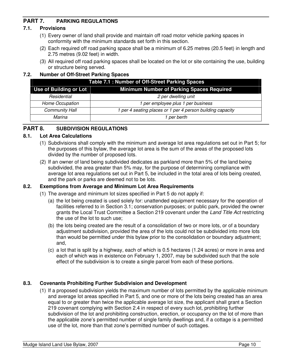# <span id="page-11-0"></span>**PART 7. PARKING REGULATIONS**

## **7.1. Provisions**

- (1) Every owner of land shall provide and maintain off road motor vehicle parking spaces in conformity with the minimum standards set forth in this section.
- (2) Each required off road parking space shall be a minimum of 6.25 metres (20.5 feet) in length and 2.75 metres (9.02 feet) in width.
- (3) All required off road parking spaces shall be located on the lot or site containing the use, building or structure being served.

## **7.2. Number of Off-Street Parking Spaces**

| Table 7.1 : Number of Off-Street Parking Spaces |                                                            |  |  |  |
|-------------------------------------------------|------------------------------------------------------------|--|--|--|
| Use of Building or Lot                          | <b>Minimum Number of Parking Spaces Required</b>           |  |  |  |
| Residential                                     | 2 per dwelling unit                                        |  |  |  |
| Home Occupation                                 | 1 per employee plus 1 per business                         |  |  |  |
| <b>Community Hall</b>                           | 1 per 4 seating places or 1 per 4 person building capacity |  |  |  |
| Marina                                          | 1 per berth                                                |  |  |  |

# **PART 8. SUBDIVISION REGULATIONS**

#### **8.1. Lot Area Calculations**

- (1) Subdivisions shall comply with the minimum and average lot area regulations set out in Part 5; for the purposes of this bylaw, the average lot area is the sum of the areas of the proposed lots divided by the number of proposed lots.
- (2) If an owner of land being subdivided dedicates as parkland more than 5% of the land being subdivided, the area greater than 5% may, for the purpose of determining compliance with average lot area regulations set out in Part 5, be included in the total area of lots being created, and the park or parks are deemed not to be lots.

## **8.2. Exemptions from Average and Minimum Lot Area Requirements**

- (1) The average and minimum lot sizes specified in Part 5 do not apply if:
	- (a) the lot being created is used solely for: unattended equipment necessary for the operation of facilities referred to in Section 3.1; conservation purposes; or public park, provided the owner grants the Local Trust Committee a Section 219 covenant under the *Land Title Act* restricting the use of the lot to such use;
	- (b) the lots being created are the result of a consolidation of two or more lots, or of a boundary adjustment subdivision, provided the area of the lots could not be subdivided into more lots than would be permitted under this bylaw prior to the consolidation or boundary adjustment; and,
	- (c) a lot that is split by a highway, each of which is 0.5 hectares (1.24 acres) or more in area and each of which was in existence on February 1, 2007, may be subdivided such that the sole effect of the subdivision is to create a single parcel from each of these portions.

## **8.3. Covenants Prohibiting Further Subdivision and Development**

(1) If a proposed subdivision yields the maximum number of lots permitted by the applicable minimum and average lot areas specified in Part 5, and one or more of the lots being created has an area equal to or greater than twice the applicable average lot size, the applicant shall grant a Section 219 covenant complying with Section 2.4 in respect of every such lot, prohibiting further subdivision of the lot and prohibiting construction, erection, or occupancy on the lot of more than the applicable zone's permitted number of single family dwellings and, if a cottage is a permitted use of the lot, more than that zone's permitted number of such cottages.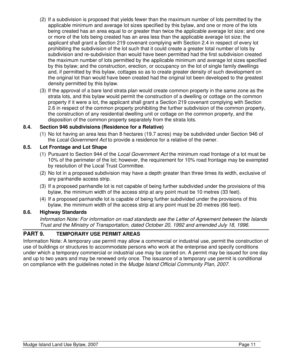- <span id="page-12-0"></span>(2) If a subdivision is proposed that yields fewer than the maximum number of lots permitted by the applicable minimum and average lot sizes specified by this bylaw, and one or more of the lots being created has an area equal to or greater than twice the applicable average lot size; and one or more of the lots being created has an area less than the applicable average lot size; the applicant shall grant a Section 219 covenant complying with Section 2.4 in respect of every lot prohibiting the subdivision of the lot such that it could create a greater total number of lots by subdivision and re-subdivision than would have been permitted had the first subdivision created the maximum number of lots permitted by the applicable minimum and average lot sizes specified by this bylaw; and the construction, erection, or occupancy on the lot of single family dwellings and, if permitted by this bylaw, cottages so as to create greater density of such development on the original lot than would have been created had the original lot been developed to the greatest density permitted by this bylaw.
- (3) If the approval of a bare land strata plan would create common property in the same zone as the strata lots, and this bylaw would permit the construction of a dwelling or cottage on the common property if it were a lot, the applicant shall grant a Section 219 covenant complying with Section 2.6 in respect of the common property prohibiting the further subdivision of the common property, the construction of any residential dwelling unit or cottage on the common property, and the disposition of the common property separately from the strata lots.

## **8.4. Section 946 subdivisions (Residence for a Relative)**

(1) No lot having an area less than 8 hectares (19.7 acres) may be subdivided under Section 946 of the *Local Government Act* to provide a residence for a relative of the owner.

#### **8.5. Lot Frontage and Lot Shape**

- (1) Pursuant to Section 944 of the *Local Government Act* the minimum road frontage of a lot must be 10% of the perimeter of the lot; however, the requirement for 10% road frontage may be exempted by resolution of the Local Trust Committee.
- (2) No lot in a proposed subdivision may have a depth greater than three times its width, exclusive of any panhandle access strip.
- (3) If a proposed panhandle lot is not capable of being further subdivided under the provisions of this bylaw, the minimum width of the access strip at any point must be 10 metres (33 feet).
- (4) If a proposed panhandle lot is capable of being further subdivided under the provisions of this bylaw, the minimum width of the access strip at any point must be 20 metres (66 feet).

#### **8.6. Highway Standards**

*Information Note: For information on road standards see the Letter of Agreement between the Islands Trust and the Ministry of Transportation, dated October 20, 1992 and amended July 18, 1996.* 

## **PART 9. TEMPORARY USE PERMIT AREAS**

Information Note: A temporary use permit may allow a commercial or industrial use, permit the construction of use of buildings or structures to accommodate persons who work at the enterprise and specify conditions under which a temporary commercial or industrial use may be carried on. A permit may be issued for one day and up to two years and may be renewed only once. The issuance of a temporary use permit is conditional on compliance with the guidelines noted in the *Mudge Island Official Community Plan, 2007*.